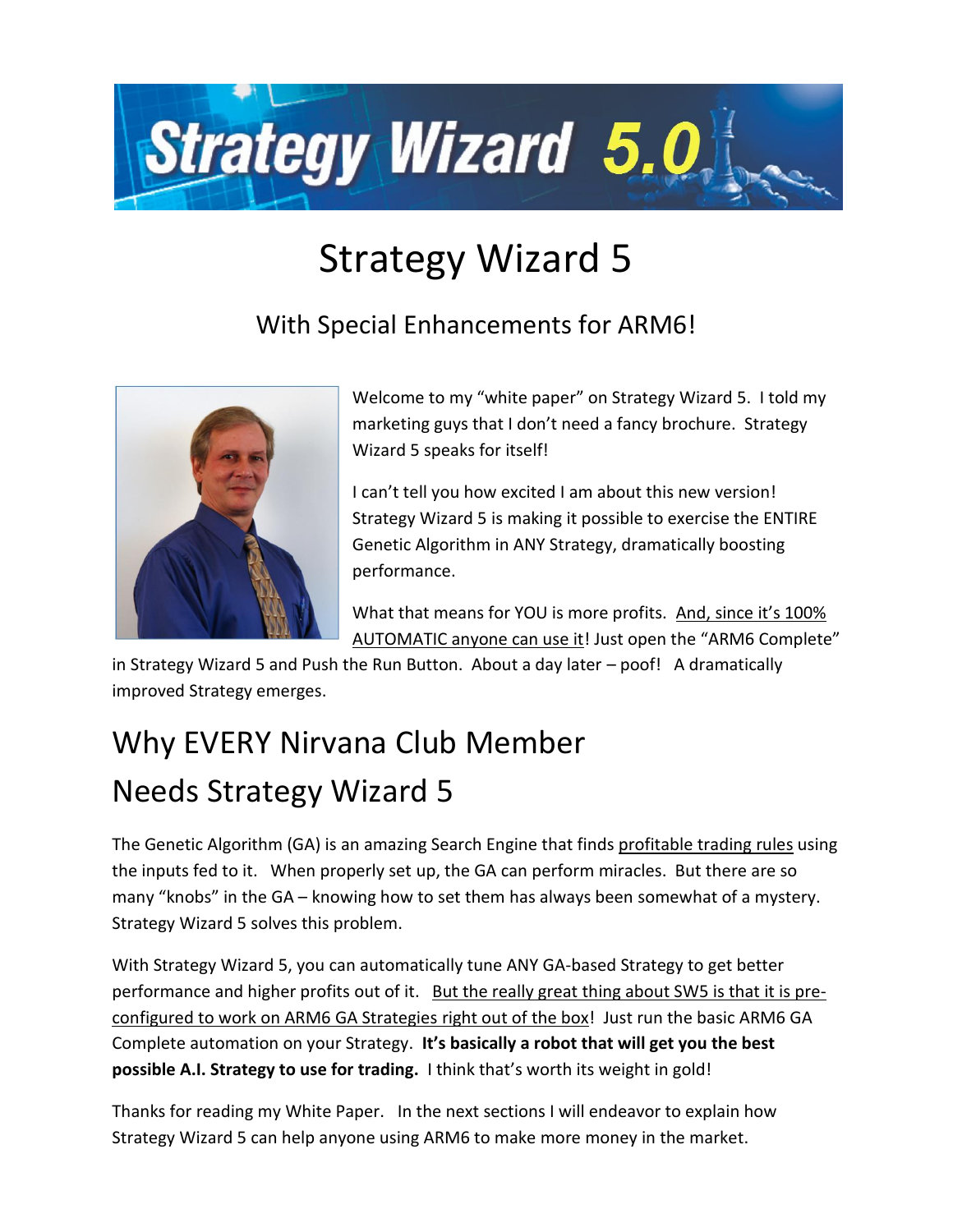

# Strategy Wizard 5

### With Special Enhancements for ARM6!



Welcome to my "white paper" on Strategy Wizard 5. I told my marketing guys that I don't need a fancy brochure. Strategy Wizard 5 speaks for itself!

I can't tell you how excited I am about this new version! Strategy Wizard 5 is making it possible to exercise the ENTIRE Genetic Algorithm in ANY Strategy, dramatically boosting performance.

What that means for YOU is more profits. And, since it's 100% AUTOMATIC anyone can use it! Just open the "ARM6 Complete"

in Strategy Wizard 5 and Push the Run Button. About a day later – poof! A dramatically improved Strategy emerges.

# Why EVERY Nirvana Club Member Needs Strategy Wizard 5

The Genetic Algorithm (GA) is an amazing Search Engine that finds profitable trading rules using the inputs fed to it. When properly set up, the GA can perform miracles. But there are so many "knobs" in the GA – knowing how to set them has always been somewhat of a mystery. Strategy Wizard 5 solves this problem.

With Strategy Wizard 5, you can automatically tune ANY GA-based Strategy to get better performance and higher profits out of it. But the really great thing about SW5 is that it is preconfigured to work on ARM6 GA Strategies right out of the box! Just run the basic ARM6 GA Complete automation on your Strategy. **It's basically a robot that will get you the best possible A.I. Strategy to use for trading.** I think that's worth its weight in gold!

Thanks for reading my White Paper. In the next sections I will endeavor to explain how Strategy Wizard 5 can help anyone using ARM6 to make more money in the market.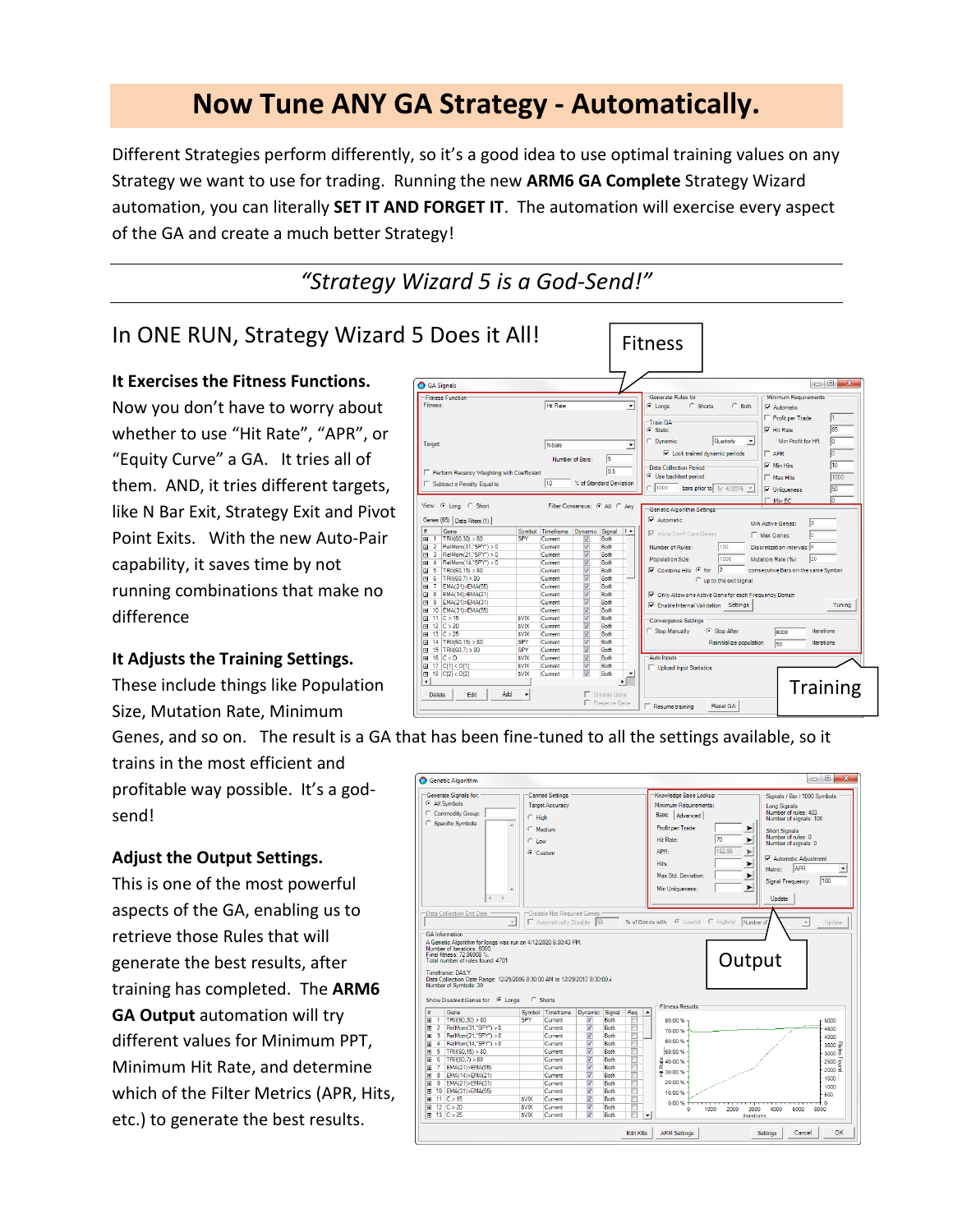### **Now Tune ANY GA Strategy - Automatically.**

Different Strategies perform differently, so it's a good idea to use optimal training values on any Strategy we want to use for trading. Running the new **ARM6 GA Complete** Strategy Wizard automation, you can literally **SET IT AND FORGET IT**. The automation will exercise every aspect of the GA and create a much better Strategy!

*"Strategy Wizard 5 is a God-Send!"*

#### In ONE RUN, Strategy Wizard 5 Does it All!

#### **It Exercises the Fitness Functions.**

Now you don't have to worry about whether to use "Hit Rate", "APR", or "Equity Curve" a GA. It tries all of them. AND, it tries different targets, like N Bar Exit, Strategy Exit and Pivot Point Exits. With the new Auto-Pair capability, it saves time by not running combinations that make no difference

#### **It Adjusts the Training Settings.**

These include things like Population Size, Mutation Rate, Minimum

Fitness GA Signals  $\begin{array}{c|c|c|c|c|c} \hline \multicolumn{3}{c|}{\multicolumn{3}{c|}{\multicolumn{3}{c|}{\multicolumn{3}{c|}{\multicolumn{3}{c|}{\multicolumn{3}{c|}{\multicolumn{3}{c|}{\multicolumn{3}{c|}{\multicolumn{3}{c}}}}}}}} \hline \multicolumn{3}{c|}{\hline \multicolumn{3}{c|}{\multicolumn{3}{c|}{\multicolumn{3}{c|}{\multicolumn{3}{c|}{\multicolumn{3}{c|}{\multicolumn{3}{c|}{\multicolumn{3}{c|}{\multicolumn{3}{c|}{\multicolumn{3}{c|}{\mult$ Fitness Func<br>Fitness: General Hit Rate  $\overline{\mathbf{r}}$  $C$  Shorts  $C$  Both  $\overline{\triangledown}$  Autor Profit per Trade -<br>Train GA<br>C Static  $\overline{\mathbf{v}}$  Hit Rate Quarterly **Dynamic**  $\overline{\phantom{a}}$ Min Profit for HR **N-bars**  $\overline{\phantom{a}}$  $\overline{\blacktriangledown}$  Lock trained dynamic periods **APR**  $\overline{5}$ Numb  $\overline{\triangleright}$  Min Hits -<br>Data Collection Period<br>© Use backtest period  $\overline{0.5}$ ency Weighting with C Max Hits Subtract a Penalty Equal to  $\sqrt{10}$ % of Standard Deviation  $\sim \sqrt{1000}$ bars prior to  $\boxed{5/4/2016}$   $\boxed{v}$  $\overline{\mathbf{v}}$  Unique  $Min E$ C Long C Short Filter Consensus: C All C Any Senetic Algorithm Set  $\overline{\blacktriangledown}$  Automatic Genes (65) | Data Filters (1) | nes (b) | Data Fiten (1) |<br>1 TRI(60,30) > 80<br>2 RelMorn(21,"SPY") > 7<br>3 RelMorn(21,"SPY") > 7<br>4 RelMorn(14,"SPY") > 6<br>6 TRI(60,7) > 80<br>6 TRI(60,7) > 80<br>8 EMA(14)-EMA(21) - 1<br>8 EMA(14)-EMA(21) + 1<br>1 O EMA(15)-EMA(21)<br>10 IMA Min Active Genes: Timeframe<br>Current<br>Current<br>Current<br>Current<br>Current<br>Current c Signal F - $\overline{\nabla}$  at <u>. The persons are persons are th</u> Max Genes: Number of Rules Discretization inter **Population Size** Mutation Rate (%):  $\overline{\mathsf{w}}$  Combine Hits  $G$  for consecutive Bars on the same Symbol C up to the Both  $\overline{\mathbf{V}}$  Only Allow one Active Gene for each Fre Both<br>Both<br>Both<br>Both<br>Both<br>Both<br>Both Enable Internal Validation Settings Tuning Current<br>Current<br>Current<br>Current<br>Current<br>Current<br>Current<br>Current svix SSSSSSS | 11 | C > 15<br>| 12 | C > 20<br>| 13 | C > 25<br>| 14 | TRII(60,15) > 80<br>| 15 | TRII(60,7) > 80<br>| 16 | C < 0<br>| 17 | C[1] < 0[1]<br>| 18 | C[2] < 0[2] ergence Settings **SVIX** C Stop After Stop Manually lanne SVIX<br>SPY<br>SVIX<br>SVIX<br>SVIX Reinitialize population  $50$ iterations Both<br>Both Upload Input Statistics  $\mathbf{r}$ **Training**  $\begin{tabular}{|c|c|c|} \hline \textbf{Delete} & \textbf{Edit} & \textbf{[} \\ \hline \end{tabular}$ Add F Reset GA Resume training

Genes, and so on. The result is a GA that has been fine-tuned to all the settings available, so it

trains in the most efficient and profitable way possible. It's a godsend!

#### **Adjust the Output Settings.**

This is one of the most powerful aspects of the GA, enabling us to retrieve those Rules that will generate the best results, after training has completed. The **ARM6 GA Output** automation will try different values for Minimum PPT, Minimum Hit Rate, and determine which of the Filter Metrics (APR, Hits, etc.) to generate the best results.

|                                              | Generate Signals for:                                                                                                                                                                 |                            | <b>Canned Settings</b>     |                                                    |                     |                  | Knowledge Base Lookup        | Signals / Bar / 1000 Symbols                    |                                                  |
|----------------------------------------------|---------------------------------------------------------------------------------------------------------------------------------------------------------------------------------------|----------------------------|----------------------------|----------------------------------------------------|---------------------|------------------|------------------------------|-------------------------------------------------|--------------------------------------------------|
|                                              | C All Symbols                                                                                                                                                                         |                            | <b>Target Accuracy</b>     |                                                    |                     |                  | Minimum Requirements:        | <b>Long Signals</b>                             |                                                  |
|                                              | C Commodity Group:                                                                                                                                                                    | $C$ High                   |                            |                                                    |                     |                  | Basic   Advanced             | Number of rules: 403                            |                                                  |
|                                              | C Specific Symbols:                                                                                                                                                                   |                            |                            |                                                    |                     |                  |                              | Number of signals: 100                          |                                                  |
|                                              |                                                                                                                                                                                       |                            | C Medium                   |                                                    |                     |                  | Profit per Trade:            | ➤<br><b>Short Signals</b>                       |                                                  |
|                                              |                                                                                                                                                                                       | $C$ Low                    |                            |                                                    |                     |                  | 170<br><b>Hit Rate:</b>      | Number of rules: 0<br>▶<br>Number of signals: 0 |                                                  |
|                                              |                                                                                                                                                                                       | $C$ Custom                 |                            |                                                    |                     |                  | 182.99<br>APR-               | $\blacktriangleright$                           |                                                  |
|                                              |                                                                                                                                                                                       |                            |                            |                                                    |                     |                  | Hits:                        | Automatic Adiustment<br>►                       |                                                  |
|                                              |                                                                                                                                                                                       |                            |                            |                                                    |                     |                  |                              | <b>APR</b><br>Metric:                           | ٠                                                |
|                                              |                                                                                                                                                                                       |                            |                            |                                                    |                     |                  | Max Std. Deviation:          | ▶<br>Signal Frequency:                          | 100                                              |
|                                              |                                                                                                                                                                                       |                            |                            |                                                    |                     |                  | Min Uniqueness:              | ▶                                               |                                                  |
|                                              | $\left($<br>$\,$ $\,$                                                                                                                                                                 |                            |                            |                                                    |                     |                  |                              | Undate                                          |                                                  |
|                                              |                                                                                                                                                                                       |                            |                            |                                                    |                     |                  |                              |                                                 |                                                  |
|                                              | -Data Collection End Date                                                                                                                                                             |                            | Disable Not-Required Genes |                                                    |                     |                  |                              |                                                 |                                                  |
|                                              |                                                                                                                                                                                       | $\mathbf{v}$               | Automatically Disable      | 50                                                 |                     | % of Genes with  | C Lowest C Highest Number of | $\overline{\phantom{a}}$                        | Update                                           |
|                                              | <b>GA</b> Information                                                                                                                                                                 |                            |                            |                                                    |                     |                  |                              |                                                 |                                                  |
|                                              | A Genetic Algorithm for longs was run on 4/12/2020 6:30:43 PM.<br>Number of Iterations: 6000<br>Final fitness: 72.86008 %.<br>Total number of rules found: 4701.<br>Timeframe: DAILY. |                            |                            |                                                    |                     |                  |                              | Output                                          |                                                  |
|                                              | Data Collection Date Range: 12/29/2006 8:30:00 AM to 12/29/2017 8:30:00 /<br>Number of Symbols: 30<br>Show Disabled Genes for: C Longs                                                |                            | C. Shorts                  |                                                    |                     |                  |                              |                                                 |                                                  |
|                                              |                                                                                                                                                                                       |                            |                            |                                                    |                     | $\blacktriangle$ | <b>Fitness Results</b>       |                                                 |                                                  |
| $\mathbf{1}$                                 | Gene<br>TRII(60,30) > 80                                                                                                                                                              | Symbol<br>SPY              | Timeframe<br>Current       | Dynamic<br>V                                       | Signal<br>Both      | Reg              | 80.00 %                      |                                                 | 5000                                             |
|                                              | RelMom(31,"SPY") > 0                                                                                                                                                                  |                            | Current                    | $\overline{\mathbf{v}}$                            | Both                | n                |                              |                                                 | 4500                                             |
| 3                                            | RelMom(21."SPY") > 0                                                                                                                                                                  |                            | Current                    | $\overline{\mathbf{v}}$                            | Both                | m                | 70.00%                       |                                                 | 4000                                             |
| $\overline{4}$                               | RelMom(14,"SPY") > 0                                                                                                                                                                  |                            | Current                    | $\overline{\mathbf{v}}$                            | Both                | n                | 60.00%                       |                                                 |                                                  |
| 5                                            | TRII(60,15) > 80                                                                                                                                                                      |                            | Current                    | $\overline{\mathbf{v}}$                            | Both                | Ē                | 50.00%                       |                                                 |                                                  |
| Ħ<br>Θ<br>$\Box$ 2<br>▣<br>▣<br>回<br>-6<br>o | TRI(60.7) > 80                                                                                                                                                                        |                            | Current                    | $\overline{\mathbf{v}}$                            | Both                | e                |                              |                                                 |                                                  |
| 国<br>7                                       | EMA(21)>EMA(55)                                                                                                                                                                       |                            | Current                    | $\overline{\mathbf{v}}$                            | Both                |                  | 응 40.00 %                    |                                                 |                                                  |
| $\overline{8}$<br>n.                         | EMA(14)>EMA(21)                                                                                                                                                                       |                            | Current                    | $\overline{\mathsf{v}}$                            | <b>Roth</b>         |                  | # 30.00 %                    |                                                 | 1500                                             |
| 9<br>囲                                       | EMA(21)>EMA(31)                                                                                                                                                                       |                            | Current                    | $\overline{\mathbf{v}}$                            | Both                | m                | 20.00%                       |                                                 | 1000                                             |
| ▣                                            | 10   EMA(31)>EMA(55)                                                                                                                                                                  |                            | Current                    | $\overline{\mathbf{v}}$                            | <b>Poth</b>         | e                | 10.00%                       |                                                 | 500                                              |
|                                              | 田 11 C > 15                                                                                                                                                                           | <b>SVIX</b>                | Current                    | $\overline{\mathbf{v}}$                            | Both                | F                | 0.00%                        |                                                 | 3500 쟏<br>$3000 \frac{8}{9}$<br>2500 술<br>2000 금 |
| Θ                                            | $12$ C $>20$<br><b>⊞</b> 13 C > 25                                                                                                                                                    | <b>SVIX</b><br><b>SVIX</b> | Current<br>Current         | $\overline{\mathbf{v}}$<br>$\overline{\mathbf{v}}$ | <b>Roth</b><br>Both | $\check{}$       | 1000<br>2000<br>$\circ$      | 3000<br>4000<br>5000<br>Iterations              | 6000                                             |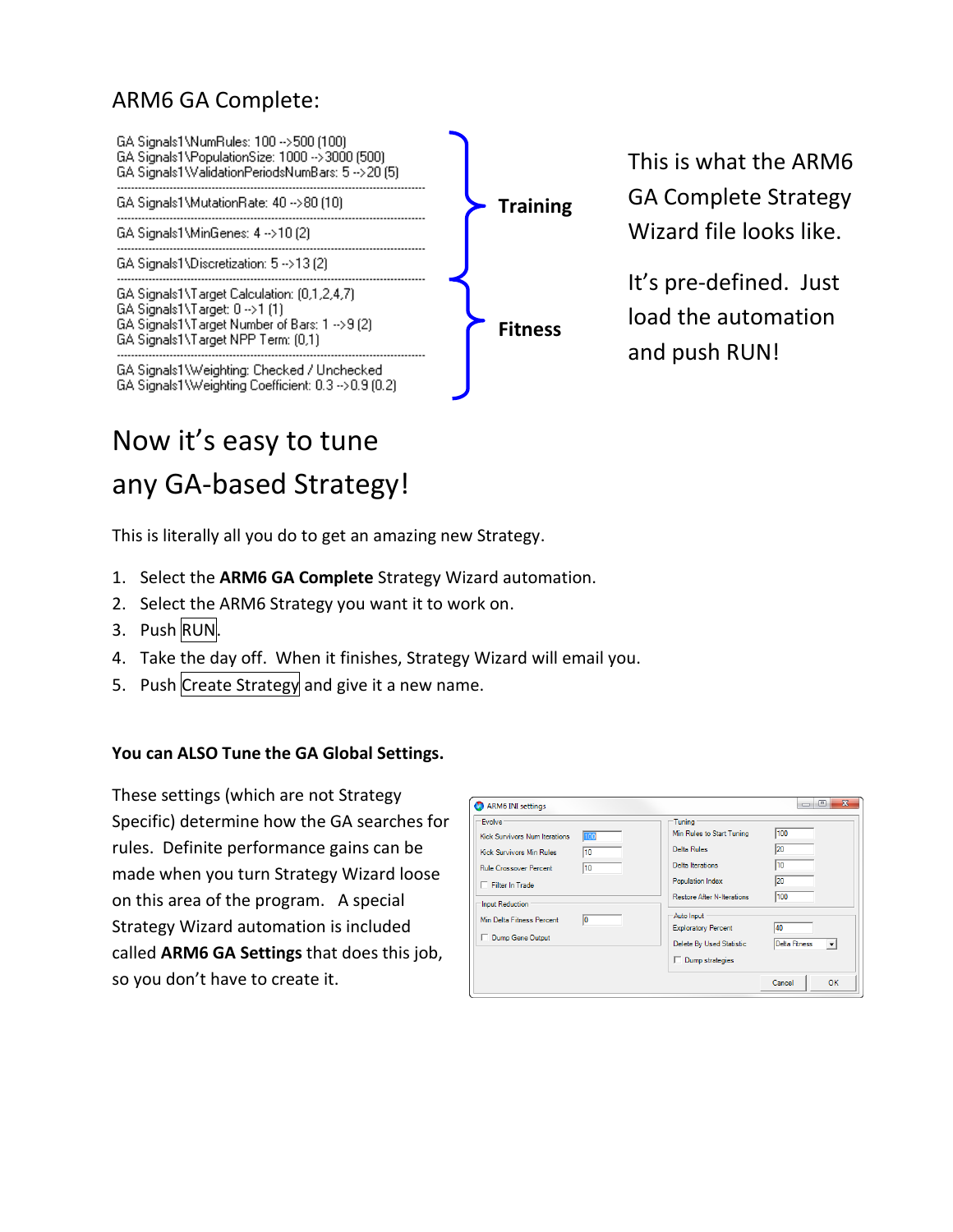### ARM6 GA Complete:



This is what the ARM6 GA Complete Strategy Wizard file looks like.

It's pre-defined. Just load the automation and push RUN!

# Now it's easy to tune any GA-based Strategy!

This is literally all you do to get an amazing new Strategy.

- 1. Select the **ARM6 GA Complete** Strategy Wizard automation.
- 2. Select the ARM6 Strategy you want it to work on.
- 3. Push RUN.
- 4. Take the day off. When it finishes, Strategy Wizard will email you.
- 5. Push Create Strategy and give it a new name.

#### **You can ALSO Tune the GA Global Settings.**

These settings (which are not Strategy Specific) determine how the GA searches for rules. Definite performance gains can be made when you turn Strategy Wizard loose on this area of the program. A special Strategy Wizard automation is included called **ARM6 GA Settings** that does this job, so you don't have to create it.

| <b>Evolve</b><br>100<br><b>Kick Survivors Num Iterations</b><br>10<br><b>Kick Survivors Min Rules</b> | Tuning<br>Min Rules to Start Tuning<br>Delta Rules                                      | 100<br>20                                       |
|-------------------------------------------------------------------------------------------------------|-----------------------------------------------------------------------------------------|-------------------------------------------------|
| 10<br><b>Rule Crossover Percent</b><br>Filter In Trade<br>Input Reduction                             | <b>Delta Iterations</b><br><b>Population Index</b><br><b>Restore After N-Iterations</b> | 10<br>20<br>100                                 |
| Min Delta Fitness Percent<br>10<br>Dump Gene Output                                                   | Auto Input<br><b>Exploratory Percent</b><br>Delete By Used Statistic<br>Dump strategies | 40<br>Delta Fitness<br>$\overline{\phantom{a}}$ |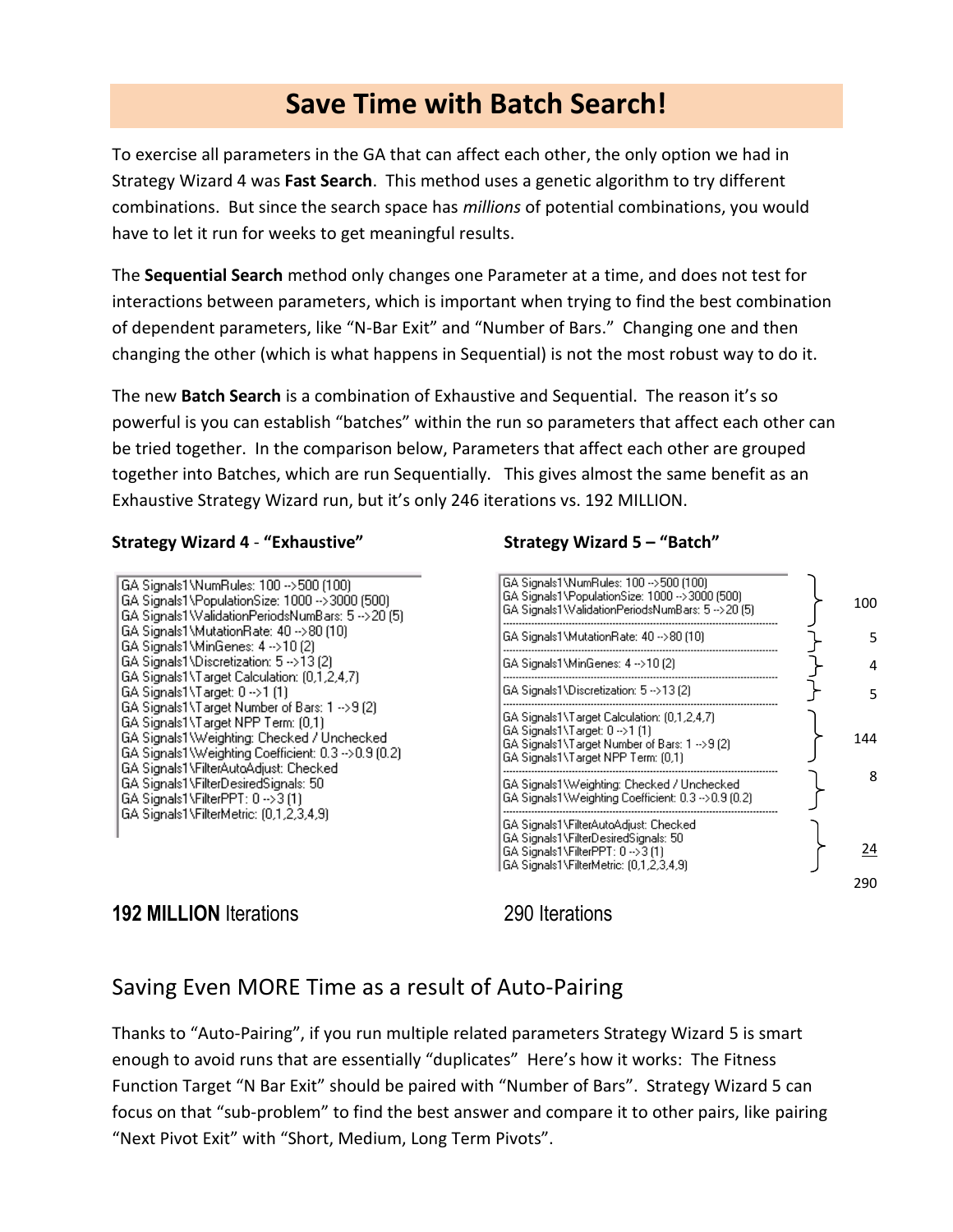### **Save Time with Batch Search!**

To exercise all parameters in the GA that can affect each other, the only option we had in Strategy Wizard 4 was **Fast Search**. This method uses a genetic algorithm to try different combinations. But since the search space has *millions* of potential combinations, you would have to let it run for weeks to get meaningful results.

The **Sequential Search** method only changes one Parameter at a time, and does not test for interactions between parameters, which is important when trying to find the best combination of dependent parameters, like "N-Bar Exit" and "Number of Bars." Changing one and then changing the other (which is what happens in Sequential) is not the most robust way to do it.

The new **Batch Search** is a combination of Exhaustive and Sequential. The reason it's so powerful is you can establish "batches" within the run so parameters that affect each other can be tried together. In the comparison below, Parameters that affect each other are grouped together into Batches, which are run Sequentially. This gives almost the same benefit as an Exhaustive Strategy Wizard run, but it's only 246 iterations vs. 192 MILLION.

#### **Strategy Wizard 4** - **"Exhaustive" Strategy Wizard 5 – "Batch"**

GA Signals1\NumRules: 100 -->500 (100) GA Signals1\PopulationSize: 1000 -->3000 (500) GA Signals1 WalidationPeriodsNumBars: 5 --> 20 (5) GA Signals1\MutationRate: 40 -->80 (10) GA Signals1\MinGenes: 4 -->10 (2) GA Signals1\Discretization: 5 -->13 (2) GA Signals1\Target Calculation: (0,1,2,4,7) GA Signals1\Target: 0 -- > 1 (1) GA Signals1\Target Number of Bars: 1 -->9 (2) GA Signals1\Target NPP Term: (0,1) GA Signals1\Weighting: Checked / Unchecked GA Signals1\Weighting Coefficient: 0.3 -> 0.9 (0.2) GA Signals1\FilterAutoAdjust: Checked GA Signals1\FilterDesiredSignals: 50 GA Signals1\FilterPPT: 0 -->3 (1) GA Signals1\FilterMetric: (0,1,2,3,4,9)



#### **192 MILLION** Iterations 290 Iterations

#### Saving Even MORE Time as a result of Auto-Pairing

Thanks to "Auto-Pairing", if you run multiple related parameters Strategy Wizard 5 is smart enough to avoid runs that are essentially "duplicates" Here's how it works: The Fitness Function Target "N Bar Exit" should be paired with "Number of Bars". Strategy Wizard 5 can focus on that "sub-problem" to find the best answer and compare it to other pairs, like pairing "Next Pivot Exit" with "Short, Medium, Long Term Pivots".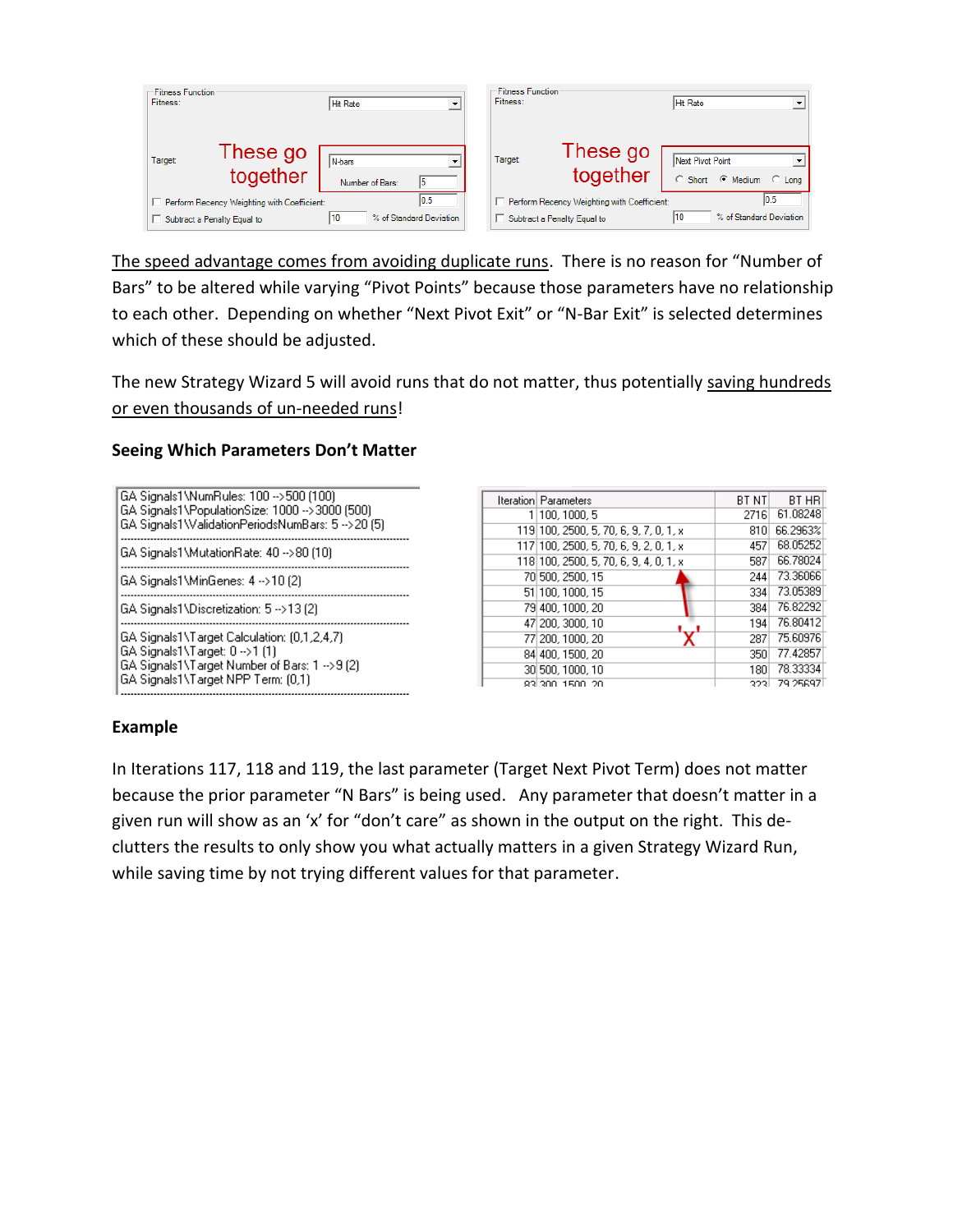| <b>Fitness Function</b><br>Fitness: |                                             | <b>Hit Rate</b>                   | <b>Fitness Function</b><br>Fitness:         | <b>Hit Rate</b>                             |
|-------------------------------------|---------------------------------------------|-----------------------------------|---------------------------------------------|---------------------------------------------|
| Target:                             | These go<br>together                        | <i>N</i> -bars<br>Number of Bars: | These go<br>Target:<br>together             | Next Pivot Point<br>C Short C Medium C Long |
|                                     | Perform Recency Weighting with Coefficient: | 10.5                              | Perform Recency Weighting with Coefficient: | 10.5                                        |
|                                     | Subtract a Penalty Equal to                 | % of Standard Deviation<br>10     | Subtract a Penalty Equal to                 | % of Standard Deviation<br>10               |

The speed advantage comes from avoiding duplicate runs. There is no reason for "Number of Bars" to be altered while varying "Pivot Points" because those parameters have no relationship to each other. Depending on whether "Next Pivot Exit" or "N-Bar Exit" is selected determines which of these should be adjusted.

The new Strategy Wizard 5 will avoid runs that do not matter, thus potentially saving hundreds or even thousands of un-needed runs!

#### **Seeing Which Parameters Don't Matter**

| GA Signals1\NumRules: 100 -->500 (100).<br>GA Signals1\PopulationSize: 1000 -->3000 (500)<br>GA Signals1\ValidationPeriodsNumBars: 5 -->20 (5)                       |
|----------------------------------------------------------------------------------------------------------------------------------------------------------------------|
| GA Signals1\MutationRate: 40 -->80 (10)                                                                                                                              |
| GA Signals1\MinGenes: 4 -->10 (2)                                                                                                                                    |
| GA Signals1\Discretization: 5 -->13 (2)                                                                                                                              |
| GA Signals1\Target Calculation: (0,1,2,4,7)<br>GA Signals1\Target: 0 -->1 (1)<br>GA Signals1\Target Number of Bars: 1 -->9 (2)<br>GA Signals1\Target NPP Term: (0,1) |

| Iteration  Parameters                  | <b>BT NT</b> | BT HR    |
|----------------------------------------|--------------|----------|
| 1 100, 1000, 5                         | 2716         | 61.08248 |
| 119 100, 2500, 5, 70, 6, 9, 7, 0, 1, x | 810          | 66.2963% |
| 117 100, 2500, 5, 70, 6, 9, 2, 0, 1, x | 457          | 68.05252 |
| 118 100, 2500, 5, 70, 6, 9, 4, 0, 1, x | 587          | 66.78024 |
| 70 500, 2500, 15                       | 244          | 73.36066 |
| 51 100, 1000, 15                       | 334          | 73.05389 |
| 79 400, 1000, 20                       | 384          | 76.82292 |
| 47 200, 3000, 10                       | 194          | 76.80412 |
| 77 200, 1000, 20                       | 287          | 75.60976 |
| 84 400, 1500, 20                       | 350          | 77.42857 |
| 30 500, 1000, 10                       | 180          | 78.33334 |
| 22 200 1500 20                         | 2221         | 79.25697 |

#### **Example**

In Iterations 117, 118 and 119, the last parameter (Target Next Pivot Term) does not matter because the prior parameter "N Bars" is being used. Any parameter that doesn't matter in a given run will show as an 'x' for "don't care" as shown in the output on the right. This declutters the results to only show you what actually matters in a given Strategy Wizard Run, while saving time by not trying different values for that parameter.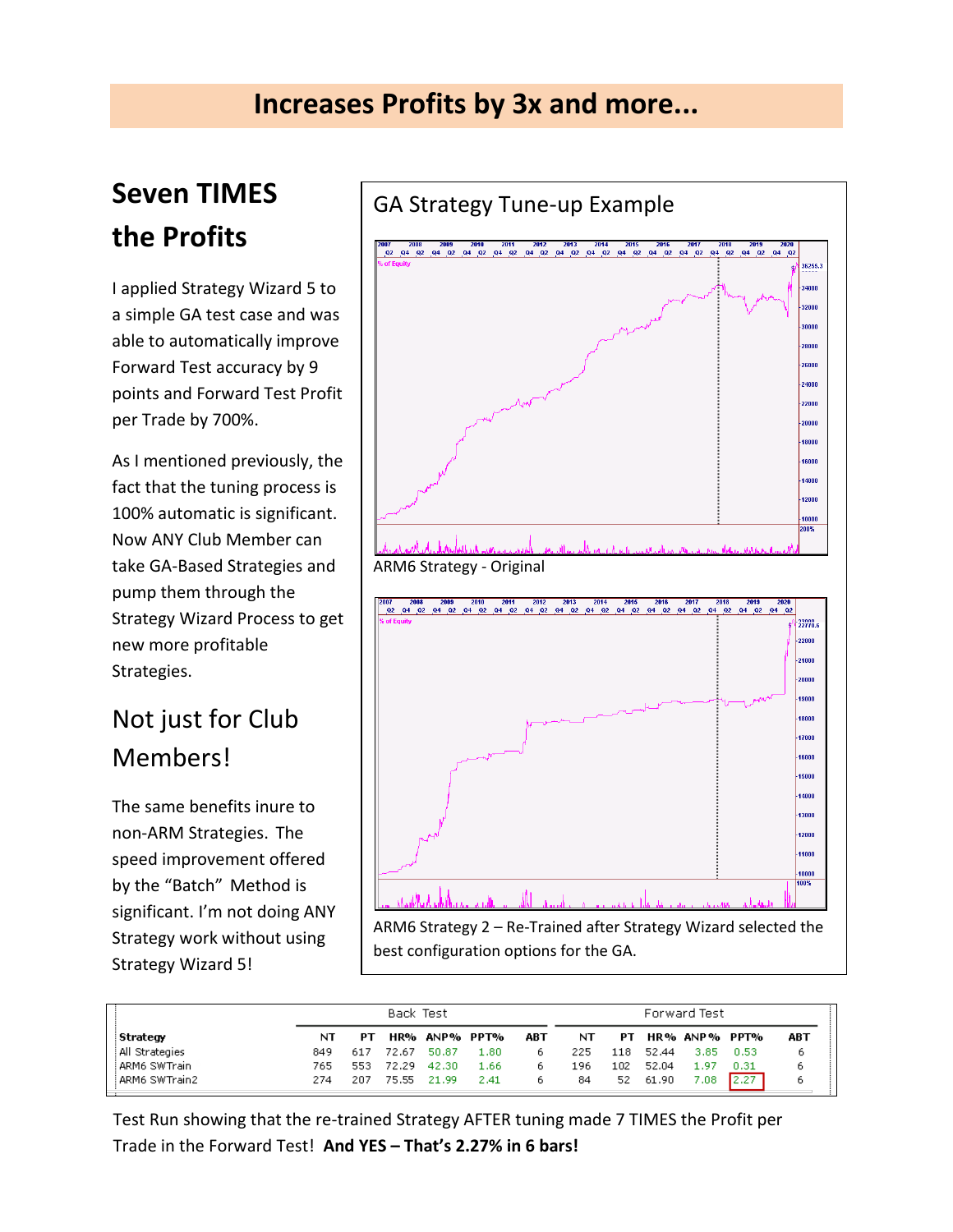## **Seven TIMES the Profits**

I applied Strategy Wizard 5 to a simple GA test case and was able to automatically improve Forward Test accuracy by 9 points and Forward Test Profit per Trade by 700%.

As I mentioned previously, the fact that the tuning process is 100% automatic is significant. Now ANY Club Member can take GA-Based Strategies and pump them through the Strategy Wizard Process to get new more profitable Strategies.

### Not just for Club Members!

The same benefits inure to non-ARM Strategies. The speed improvement offered by the "Batch" Method is significant. I'm not doing ANY Strategy work without using Strategy Wizard 5!



|                |     | Back Test |       |               |           |     | Forward Test |     |       |               |      |     |
|----------------|-----|-----------|-------|---------------|-----------|-----|--------------|-----|-------|---------------|------|-----|
| Strategy       | NT  | PТ        |       | HR% ANP% PPT% |           | ABT | NT           | PТ  |       | HR% ANP% PPT% |      | ABT |
| All Strategies | 849 | 617       | 72.67 | 50.87         | $_{1.80}$ | ь.  | 225          | 118 | 52.44 | 3.85          | 0.53 |     |
| ARM6 SWTrain   | 765 | 553       | 72.29 | 42.30         | 1.66      | ь.  | 196          | 102 | 52.04 | 1.97          | 0.31 |     |
| ARM6 SWTrain2  | 274 | 207       | 75.55 | 21.99         | 2.41      | ь.  | 84           | 52. | 61.90 | 7.08          | 2,27 |     |

Test Run showing that the re-trained Strategy AFTER tuning made 7 TIMES the Profit per Trade in the Forward Test! **And YES – That's 2.27% in 6 bars!**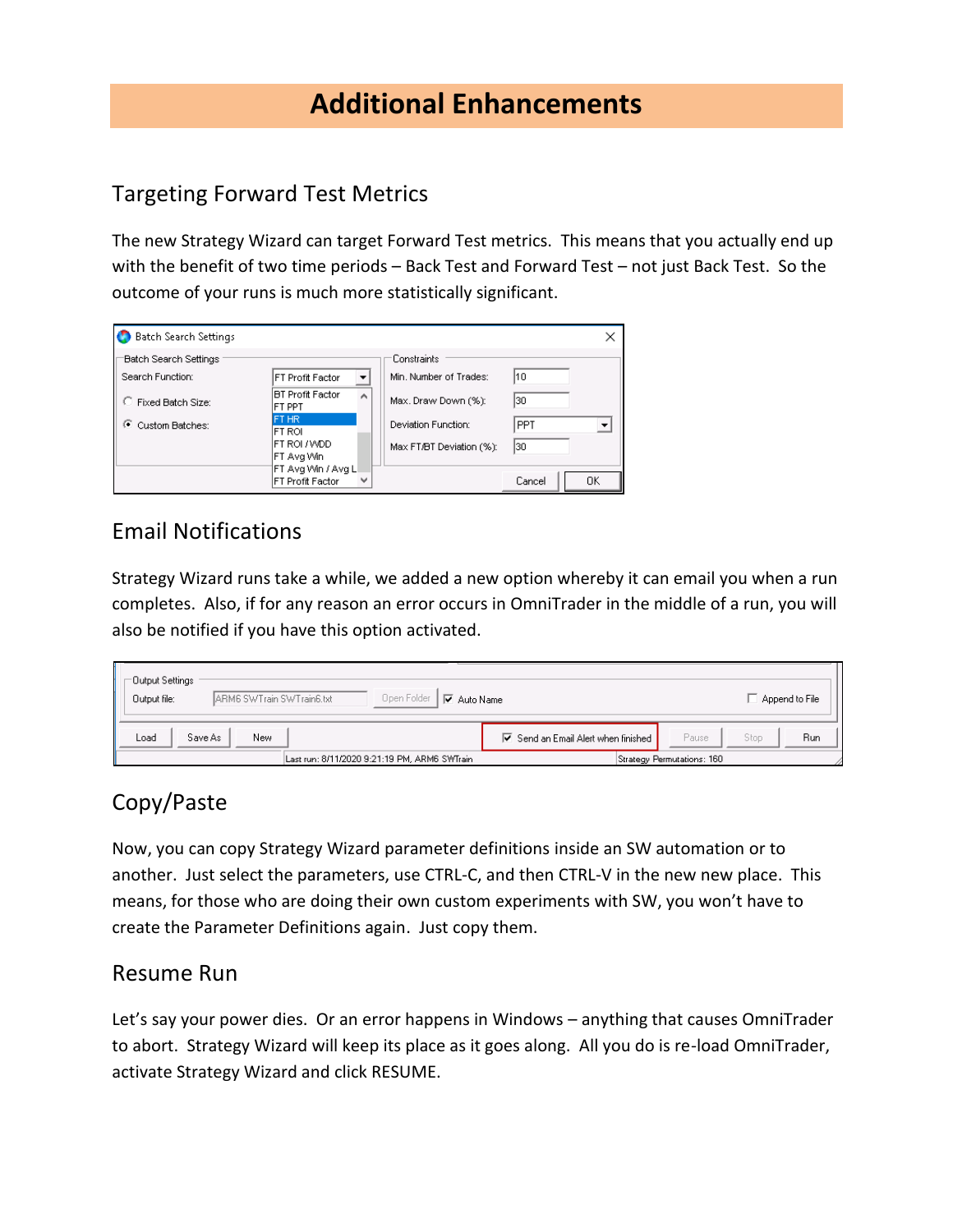### **Additional Enhancements**

### Targeting Forward Test Metrics

The new Strategy Wizard can target Forward Test metrics. This means that you actually end up with the benefit of two time periods – Back Test and Forward Test – not just Back Test. So the outcome of your runs is much more statistically significant.

| <b>Batch Search Settings</b> |                                                        |                          |        | ×  |
|------------------------------|--------------------------------------------------------|--------------------------|--------|----|
| Batch Search Settings        |                                                        | Constraints              |        |    |
| Search Function:             | FT Profit Factor                                       | Min. Number of Trades:   | 10     |    |
| C Fixed Batch Size:          | <b>BT Profit Factor</b><br>۸<br>FT PPT                 | Max. Draw Down (%):      | 30     |    |
| G.<br>Custom Batches:        | FT HR<br>FT ROL                                        | Deviation Function:      | PPT    |    |
|                              | FT ROL/WDD<br> FT Ava Win                              | Max FT/BT Deviation (%): | 30     |    |
|                              | FT Avg Win / Avg L<br>$\checkmark$<br>FT Profit Factor |                          | Cancel | OΚ |

### Email Notifications

Strategy Wizard runs take a while, we added a new option whereby it can email you when a run completes. Also, if for any reason an error occurs in OmniTrader in the middle of a run, you will also be notified if you have this option activated.

| ⊤Output Settings  <br>Open Folder<br>ARM6 SWTrain SWTrain6.txt<br>Output file:<br>$\overline{\vee}$ Auto Name | $\Box$ Append to File                                                                |
|---------------------------------------------------------------------------------------------------------------|--------------------------------------------------------------------------------------|
| New<br>Load<br>Save As                                                                                        | Run<br>Pause<br>$\overline{\triangledown}$ Send an Email Alert when finished<br>Stop |
| Last run: 8/11/2020 9:21:19 PM, ARM6 SWTrain                                                                  | Strategy Permutations: 160                                                           |

### Copy/Paste

Now, you can copy Strategy Wizard parameter definitions inside an SW automation or to another. Just select the parameters, use CTRL-C, and then CTRL-V in the new new place. This means, for those who are doing their own custom experiments with SW, you won't have to create the Parameter Definitions again. Just copy them.

#### Resume Run

Let's say your power dies. Or an error happens in Windows – anything that causes OmniTrader to abort. Strategy Wizard will keep its place as it goes along. All you do is re-load OmniTrader, activate Strategy Wizard and click RESUME.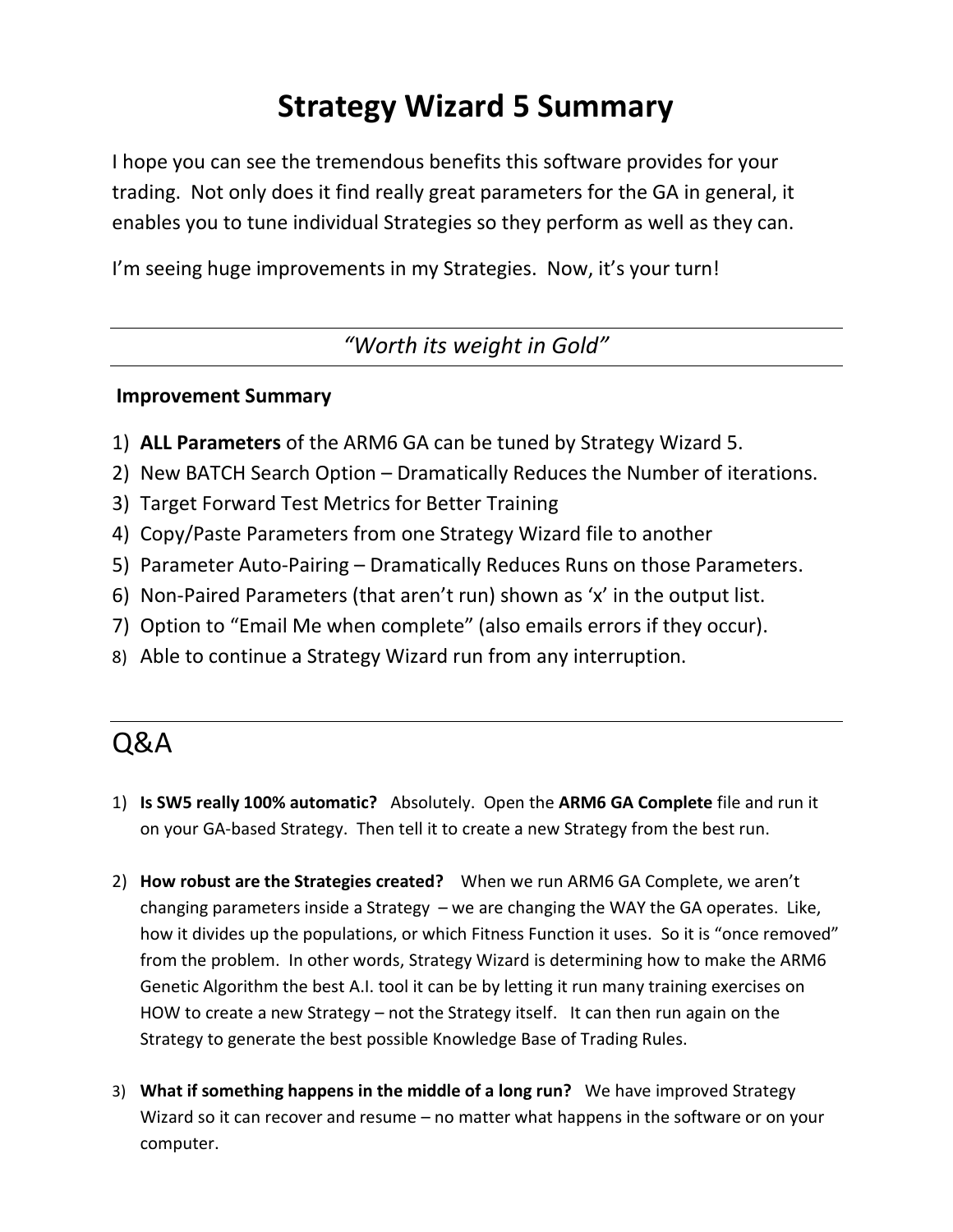## **Strategy Wizard 5 Summary**

I hope you can see the tremendous benefits this software provides for your trading. Not only does it find really great parameters for the GA in general, it enables you to tune individual Strategies so they perform as well as they can.

I'm seeing huge improvements in my Strategies. Now, it's your turn!

*"Worth its weight in Gold"*

#### **Improvement Summary**

- 1) **ALL Parameters** of the ARM6 GA can be tuned by Strategy Wizard 5.
- 2) New BATCH Search Option Dramatically Reduces the Number of iterations.
- 3) Target Forward Test Metrics for Better Training
- 4) Copy/Paste Parameters from one Strategy Wizard file to another
- 5) Parameter Auto-Pairing Dramatically Reduces Runs on those Parameters.
- 6) Non-Paired Parameters (that aren't run) shown as 'x' in the output list.
- 7) Option to "Email Me when complete" (also emails errors if they occur).
- 8) Able to continue a Strategy Wizard run from any interruption.

### Q&A

- 1) **Is SW5 really 100% automatic?** Absolutely. Open the **ARM6 GA Complete** file and run it on your GA-based Strategy. Then tell it to create a new Strategy from the best run.
- 2) **How robust are the Strategies created?** When we run ARM6 GA Complete, we aren't changing parameters inside a Strategy – we are changing the WAY the GA operates. Like, how it divides up the populations, or which Fitness Function it uses. So it is "once removed" from the problem. In other words, Strategy Wizard is determining how to make the ARM6 Genetic Algorithm the best A.I. tool it can be by letting it run many training exercises on HOW to create a new Strategy – not the Strategy itself. It can then run again on the Strategy to generate the best possible Knowledge Base of Trading Rules.
- 3) **What if something happens in the middle of a long run?** We have improved Strategy Wizard so it can recover and resume – no matter what happens in the software or on your computer.